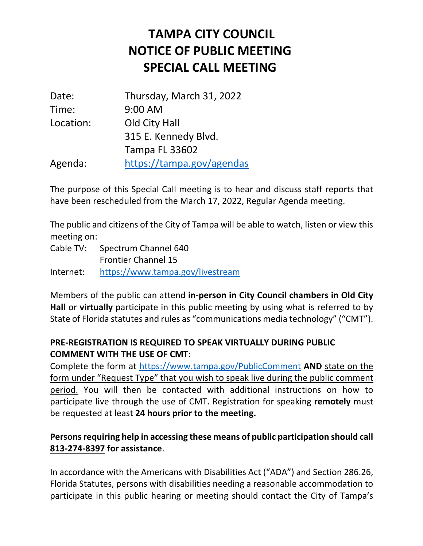## **SPECIAL CALL MEETING TAMPA CITY COUNCIL NOTICE OF PUBLIC MEETING**

| Date:     | Thursday, March 31, 2022  |
|-----------|---------------------------|
| Time:     | 9:00 AM                   |
| Location: | Old City Hall             |
|           | 315 E. Kennedy Blvd.      |
|           | <b>Tampa FL 33602</b>     |
| Agenda:   | https://tampa.gov/agendas |

 The purpose of this Special Call meeting is to hear and discuss staff reports that have been rescheduled from the March 17, 2022, Regular Agenda meeting.

 The public and citizens of the City of Tampa will be able to watch, listen or view this meeting on:

 Cable TV: Spectrum Channel 640 Frontier Channel 15 https://www.tampa.gov/livestream

Internet: https://www.tampa.gov/livestream<br>Members of the public can attend **in-person in City Council chambers in Old City Hall** or **virtually** participate in this public meeting by using what is referred to by State of Florida statutes and rules as "communications media technology" ("CMT").

## **COMMENT WITH THE USE OF CMT: PRE-REGISTRATION IS REQUIRED TO SPEAK VIRTUALLY DURING PUBLIC**

 Complete the form at https://www.tampa.gov/PublicComment **AND** state on the form under "Request Type" that you wish to speak live during the public comment participate live through the use of CMT. Registration for speaking **remotely** must  be requested at least **24 hours prior to the meeting.**  period. You will then be contacted with additional instructions on how to

## **Persons requiring help in accessing these means of public participation should call 813-274-8397 for assistance**.

 In accordance with the Americans with Disabilities Act ("ADA") and Section 286.26, Florida Statutes, persons with disabilities needing a reasonable accommodation to participate in this public hearing or meeting should contact the City of Tampa's